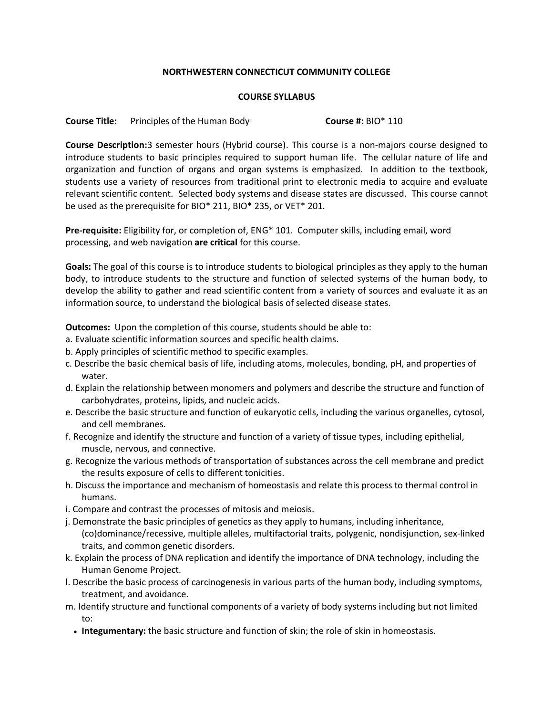## **NORTHWESTERN CONNECTICUT COMMUNITY COLLEGE**

## **COURSE SYLLABUS**

**Course Title:** Principles of the Human Body **Course #:** BIO\* 110

**Course Description:**3 semester hours (Hybrid course). This course is a non-majors course designed to introduce students to basic principles required to support human life. The cellular nature of life and organization and function of organs and organ systems is emphasized. In addition to the textbook, students use a variety of resources from traditional print to electronic media to acquire and evaluate relevant scientific content. Selected body systems and disease states are discussed. This course cannot be used as the prerequisite for BIO\* 211, BIO\* 235, or VET\* 201.

**Pre-requisite:** Eligibility for, or completion of, ENG\* 101. Computer skills, including email, word processing, and web navigation **are critical** for this course.

**Goals:** The goal of this course is to introduce students to biological principles as they apply to the human body, to introduce students to the structure and function of selected systems of the human body, to develop the ability to gather and read scientific content from a variety of sources and evaluate it as an information source, to understand the biological basis of selected disease states.

**Outcomes:** Upon the completion of this course, students should be able to:

- a. Evaluate scientific information sources and specific health claims.
- b. Apply principles of scientific method to specific examples.
- c. Describe the basic chemical basis of life, including atoms, molecules, bonding, pH, and properties of water.
- d. Explain the relationship between monomers and polymers and describe the structure and function of carbohydrates, proteins, lipids, and nucleic acids.
- e. Describe the basic structure and function of eukaryotic cells, including the various organelles, cytosol, and cell membranes.
- f. Recognize and identify the structure and function of a variety of tissue types, including epithelial, muscle, nervous, and connective.
- g. Recognize the various methods of transportation of substances across the cell membrane and predict the results exposure of cells to different tonicities.
- h. Discuss the importance and mechanism of homeostasis and relate this process to thermal control in humans.
- i. Compare and contrast the processes of mitosis and meiosis.
- j. Demonstrate the basic principles of genetics as they apply to humans, including inheritance, (co)dominance/recessive, multiple alleles, multifactorial traits, polygenic, nondisjunction, sex-linked traits, and common genetic disorders.
- k. Explain the process of DNA replication and identify the importance of DNA technology, including the Human Genome Project.
- l. Describe the basic process of carcinogenesis in various parts of the human body, including symptoms, treatment, and avoidance.
- m. Identify structure and functional components of a variety of body systems including but not limited to:
	- **Integumentary:** the basic structure and function of skin; the role of skin in homeostasis.